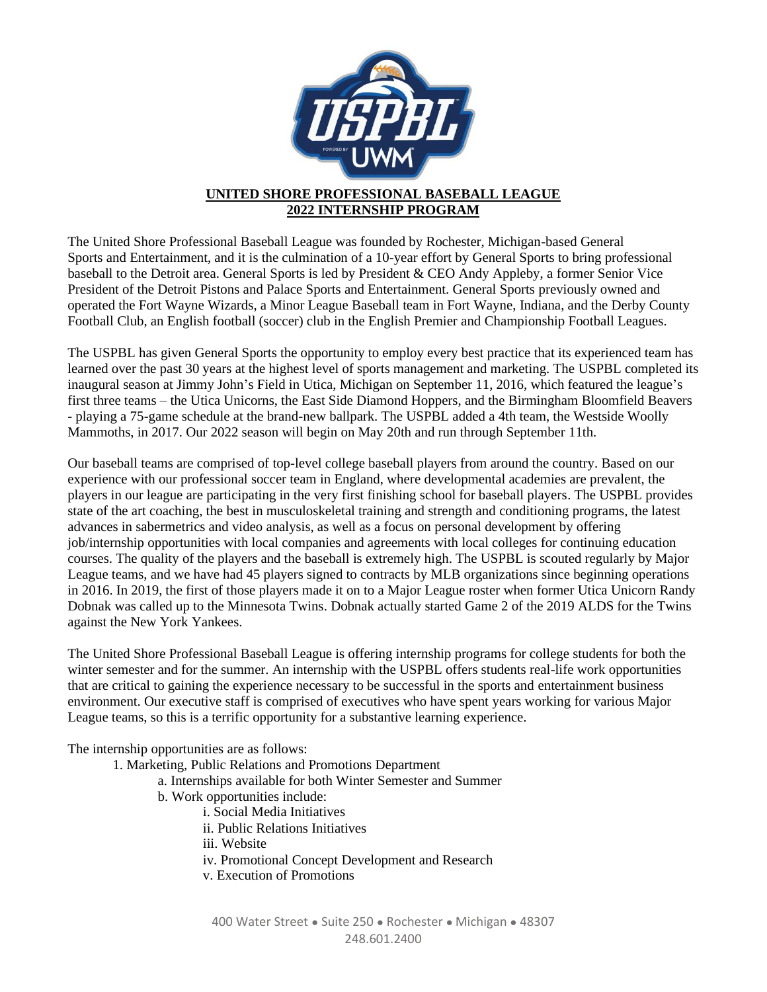

## **UNITED SHORE PROFESSIONAL BASEBALL LEAGUE 2022 INTERNSHIP PROGRAM**

The United Shore Professional Baseball League was founded by Rochester, Michigan-based General Sports and Entertainment, and it is the culmination of a 10-year effort by General Sports to bring professional baseball to the Detroit area. General Sports is led by President & CEO Andy Appleby, a former Senior Vice President of the Detroit Pistons and Palace Sports and Entertainment. General Sports previously owned and operated the Fort Wayne Wizards, a Minor League Baseball team in Fort Wayne, Indiana, and the Derby County Football Club, an English football (soccer) club in the English Premier and Championship Football Leagues.

The USPBL has given General Sports the opportunity to employ every best practice that its experienced team has learned over the past 30 years at the highest level of sports management and marketing. The USPBL completed its inaugural season at Jimmy John's Field in Utica, Michigan on September 11, 2016, which featured the league's first three teams – the Utica Unicorns, the East Side Diamond Hoppers, and the Birmingham Bloomfield Beavers - playing a 75-game schedule at the brand-new ballpark. The USPBL added a 4th team, the Westside Woolly Mammoths, in 2017. Our 2022 season will begin on May 20th and run through September 11th.

Our baseball teams are comprised of top-level college baseball players from around the country. Based on our experience with our professional soccer team in England, where developmental academies are prevalent, the players in our league are participating in the very first finishing school for baseball players. The USPBL provides state of the art coaching, the best in musculoskeletal training and strength and conditioning programs, the latest advances in sabermetrics and video analysis, as well as a focus on personal development by offering job/internship opportunities with local companies and agreements with local colleges for continuing education courses. The quality of the players and the baseball is extremely high. The USPBL is scouted regularly by Major League teams, and we have had 45 players signed to contracts by MLB organizations since beginning operations in 2016. In 2019, the first of those players made it on to a Major League roster when former Utica Unicorn Randy Dobnak was called up to the Minnesota Twins. Dobnak actually started Game 2 of the 2019 ALDS for the Twins against the New York Yankees.

The United Shore Professional Baseball League is offering internship programs for college students for both the winter semester and for the summer. An internship with the USPBL offers students real-life work opportunities that are critical to gaining the experience necessary to be successful in the sports and entertainment business environment. Our executive staff is comprised of executives who have spent years working for various Major League teams, so this is a terrific opportunity for a substantive learning experience.

The internship opportunities are as follows:

1. Marketing, Public Relations and Promotions Department

a. Internships available for both Winter Semester and Summer

- b. Work opportunities include:
	- i. Social Media Initiatives
	- ii. Public Relations Initiatives

iii. Website

- iv. Promotional Concept Development and Research
- v. Execution of Promotions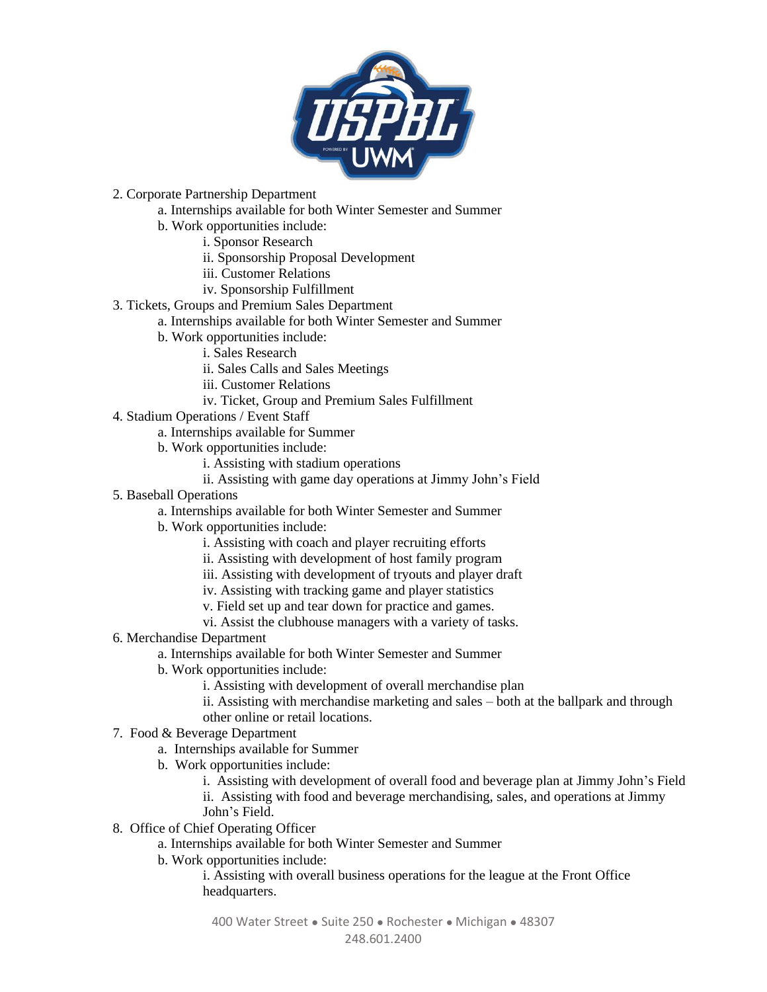

- 2. Corporate Partnership Department
	- a. Internships available for both Winter Semester and Summer
	- b. Work opportunities include:
		- i. Sponsor Research
		- ii. Sponsorship Proposal Development
		- iii. Customer Relations
		- iv. Sponsorship Fulfillment
- 3. Tickets, Groups and Premium Sales Department
	- a. Internships available for both Winter Semester and Summer
		- b. Work opportunities include:
			- i. Sales Research
			- ii. Sales Calls and Sales Meetings
			- iii. Customer Relations
			- iv. Ticket, Group and Premium Sales Fulfillment
- 4. Stadium Operations / Event Staff
	- a. Internships available for Summer
	- b. Work opportunities include:
		- i. Assisting with stadium operations
		- ii. Assisting with game day operations at Jimmy John's Field
- 5. Baseball Operations
	- a. Internships available for both Winter Semester and Summer
	- b. Work opportunities include:
		- i. Assisting with coach and player recruiting efforts
		- ii. Assisting with development of host family program
		- iii. Assisting with development of tryouts and player draft
		- iv. Assisting with tracking game and player statistics
		- v. Field set up and tear down for practice and games.
		- vi. Assist the clubhouse managers with a variety of tasks.
- 6. Merchandise Department
	- a. Internships available for both Winter Semester and Summer
	- b. Work opportunities include:
		- i. Assisting with development of overall merchandise plan
		- ii. Assisting with merchandise marketing and sales both at the ballpark and through other online or retail locations.
- 7. Food & Beverage Department
	- a. Internships available for Summer
	- b. Work opportunities include:
		- i. Assisting with development of overall food and beverage plan at Jimmy John's Field
		- ii. Assisting with food and beverage merchandising, sales, and operations at Jimmy John's Field.
- 8. Office of Chief Operating Officer
	- a. Internships available for both Winter Semester and Summer
		- b. Work opportunities include:

i. Assisting with overall business operations for the league at the Front Office headquarters.